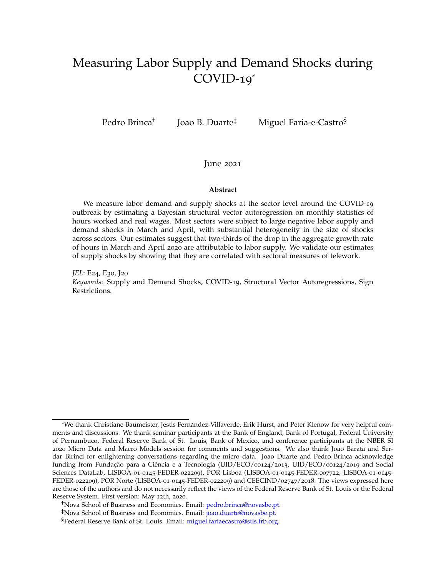# Measuring Labor Supply and Demand Shocks during COVID-19\*

Pedro Brinca†

Joao B. Duarte‡ Miguel Faria-e-Castro§

### June 2021

#### **Abstract**

We measure labor demand and supply shocks at the sector level around the COVID-19 outbreak by estimating a Bayesian structural vector autoregression on monthly statistics of hours worked and real wages. Most sectors were subject to large negative labor supply and demand shocks in March and April, with substantial heterogeneity in the size of shocks across sectors. Our estimates suggest that two-thirds of the drop in the aggregate growth rate of hours in March and April 2020 are attributable to labor supply. We validate our estimates of supply shocks by showing that they are correlated with sectoral measures of telework.

*JEL*: E24, E30, J20 *Keywords*: Supply and Demand Shocks, COVID-19, Structural Vector Autoregressions, Sign Restrictions.

<sup>\*</sup>We thank Christiane Baumeister, Jesús Fernández-Villaverde, Erik Hurst, and Peter Klenow for very helpful comments and discussions. We thank seminar participants at the Bank of England, Bank of Portugal, Federal University of Pernambuco, Federal Reserve Bank of St. Louis, Bank of Mexico, and conference participants at the NBER SI 2020 Micro Data and Macro Models session for comments and suggestions. We also thank Joao Barata and Serdar Birinci for enlightening conversations regarding the micro data. Joao Duarte and Pedro Brinca acknowledge funding from Fundação para a Ciência e a Tecnologia (UID/ECO/00124/2013, UID/ECO/00124/2019 and Social Sciences DataLab, LISBOA-01-0145-FEDER-022209), POR Lisboa (LISBOA-01-0145-FEDER-007722, LISBOA-01-0145- FEDER-022209), POR Norte (LISBOA-01-0145-FEDER-022209) and CEECIND/02747/2018. The views expressed here are those of the authors and do not necessarily reflect the views of the Federal Reserve Bank of St. Louis or the Federal Reserve System. First version: May 12th, 2020.

<sup>†</sup>Nova School of Business and Economics. Email: [p](mailto:pedro.brinca@novasbe.pt)edro.brinca@novasbe.pt.

<sup>‡</sup>Nova School of Business and Economics. Email: [j](mailto:joao.duarte@novasbe.pt)oao.duarte@novasbe.pt.

<sup>§</sup>Federal Reserve Bank of St. Louis. Email: [m](miguel.fariaecastro@stls.frb.org)iguel.fariaecastro@stls.frb.org.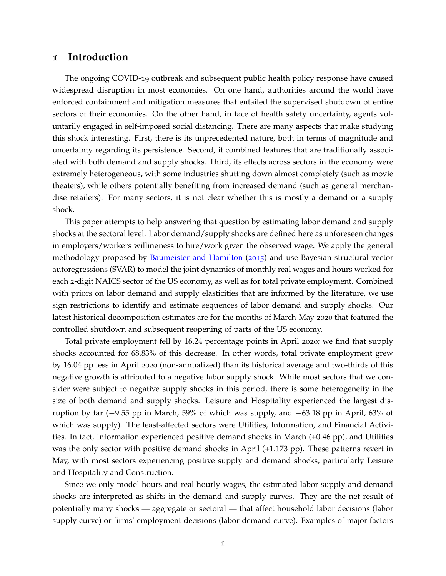### **1 Introduction**

The ongoing COVID-19 outbreak and subsequent public health policy response have caused widespread disruption in most economies. On one hand, authorities around the world have enforced containment and mitigation measures that entailed the supervised shutdown of entire sectors of their economies. On the other hand, in face of health safety uncertainty, agents voluntarily engaged in self-imposed social distancing. There are many aspects that make studying this shock interesting. First, there is its unprecedented nature, both in terms of magnitude and uncertainty regarding its persistence. Second, it combined features that are traditionally associated with both demand and supply shocks. Third, its effects across sectors in the economy were extremely heterogeneous, with some industries shutting down almost completely (such as movie theaters), while others potentially benefiting from increased demand (such as general merchandise retailers). For many sectors, it is not clear whether this is mostly a demand or a supply shock.

This paper attempts to help answering that question by estimating labor demand and supply shocks at the sectoral level. Labor demand/supply shocks are defined here as unforeseen changes in employers/workers willingness to hire/work given the observed wage. We apply the general methodology proposed by [Baumeister and Hamilton](#page-32-0) ([2015](#page-32-0)) and use Bayesian structural vector autoregressions (SVAR) to model the joint dynamics of monthly real wages and hours worked for each 2-digit NAICS sector of the US economy, as well as for total private employment. Combined with priors on labor demand and supply elasticities that are informed by the literature, we use sign restrictions to identify and estimate sequences of labor demand and supply shocks. Our latest historical decomposition estimates are for the months of March-May 2020 that featured the controlled shutdown and subsequent reopening of parts of the US economy.

Total private employment fell by 16.24 percentage points in April 2020; we find that supply shocks accounted for 68.83% of this decrease. In other words, total private employment grew by 16.04 pp less in April 2020 (non-annualized) than its historical average and two-thirds of this negative growth is attributed to a negative labor supply shock. While most sectors that we consider were subject to negative supply shocks in this period, there is some heterogeneity in the size of both demand and supply shocks. Leisure and Hospitality experienced the largest disruption by far (−9.55 pp in March, 59% of which was supply, and −63.18 pp in April, 63% of which was supply). The least-affected sectors were Utilities, Information, and Financial Activities. In fact, Information experienced positive demand shocks in March (+0.46 pp), and Utilities was the only sector with positive demand shocks in April  $(+1.173$  pp). These patterns revert in May, with most sectors experiencing positive supply and demand shocks, particularly Leisure and Hospitality and Construction.

Since we only model hours and real hourly wages, the estimated labor supply and demand shocks are interpreted as shifts in the demand and supply curves. They are the net result of potentially many shocks — aggregate or sectoral — that affect household labor decisions (labor supply curve) or firms' employment decisions (labor demand curve). Examples of major factors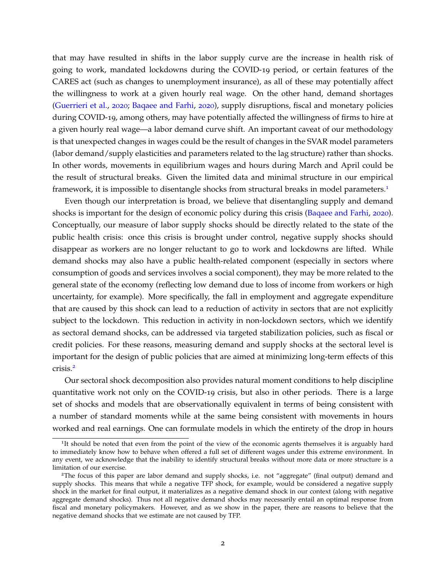that may have resulted in shifts in the labor supply curve are the increase in health risk of going to work, mandated lockdowns during the COVID-19 period, or certain features of the CARES act (such as changes to unemployment insurance), as all of these may potentially affect the willingness to work at a given hourly real wage. On the other hand, demand shortages [\(Guerrieri et al.,](#page-33-0) [2020](#page-33-0); [Baqaee and Farhi,](#page-32-1) [2020](#page-32-1)), supply disruptions, fiscal and monetary policies during COVID-19, among others, may have potentially affected the willingness of firms to hire at a given hourly real wage—a labor demand curve shift. An important caveat of our methodology is that unexpected changes in wages could be the result of changes in the SVAR model parameters (labor demand/supply elasticities and parameters related to the lag structure) rather than shocks. In other words, movements in equilibrium wages and hours during March and April could be the result of structural breaks. Given the limited data and minimal structure in our empirical framework, it is impossible to disentangle shocks from structural breaks in model parameters.<sup>[1](#page-2-0)</sup>

Even though our interpretation is broad, we believe that disentangling supply and demand shocks is important for the design of economic policy during this crisis [\(Baqaee and Farhi,](#page-32-1) [2020](#page-32-1)). Conceptually, our measure of labor supply shocks should be directly related to the state of the public health crisis: once this crisis is brought under control, negative supply shocks should disappear as workers are no longer reluctant to go to work and lockdowns are lifted. While demand shocks may also have a public health-related component (especially in sectors where consumption of goods and services involves a social component), they may be more related to the general state of the economy (reflecting low demand due to loss of income from workers or high uncertainty, for example). More specifically, the fall in employment and aggregate expenditure that are caused by this shock can lead to a reduction of activity in sectors that are not explicitly subject to the lockdown. This reduction in activity in non-lockdown sectors, which we identify as sectoral demand shocks, can be addressed via targeted stabilization policies, such as fiscal or credit policies. For these reasons, measuring demand and supply shocks at the sectoral level is important for the design of public policies that are aimed at minimizing long-term effects of this crisis.[2](#page-2-1)

Our sectoral shock decomposition also provides natural moment conditions to help discipline quantitative work not only on the COVID-19 crisis, but also in other periods. There is a large set of shocks and models that are observationally equivalent in terms of being consistent with a number of standard moments while at the same being consistent with movements in hours worked and real earnings. One can formulate models in which the entirety of the drop in hours

<span id="page-2-0"></span><sup>&</sup>lt;sup>1</sup>It should be noted that even from the point of the view of the economic agents themselves it is arguably hard to immediately know how to behave when offered a full set of different wages under this extreme environment. In any event, we acknowledge that the inability to identify structural breaks without more data or more structure is a limitation of our exercise.

<span id="page-2-1"></span><sup>2</sup>The focus of this paper are labor demand and supply shocks, i.e. not "aggregate" (final output) demand and supply shocks. This means that while a negative TFP shock, for example, would be considered a negative supply shock in the market for final output, it materializes as a negative demand shock in our context (along with negative aggregate demand shocks). Thus not all negative demand shocks may necessarily entail an optimal response from fiscal and monetary policymakers. However, and as we show in the paper, there are reasons to believe that the negative demand shocks that we estimate are not caused by TFP.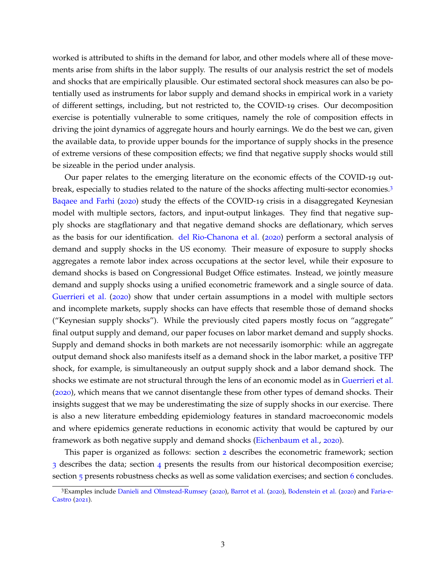worked is attributed to shifts in the demand for labor, and other models where all of these movements arise from shifts in the labor supply. The results of our analysis restrict the set of models and shocks that are empirically plausible. Our estimated sectoral shock measures can also be potentially used as instruments for labor supply and demand shocks in empirical work in a variety of different settings, including, but not restricted to, the COVID-19 crises. Our decomposition exercise is potentially vulnerable to some critiques, namely the role of composition effects in driving the joint dynamics of aggregate hours and hourly earnings. We do the best we can, given the available data, to provide upper bounds for the importance of supply shocks in the presence of extreme versions of these composition effects; we find that negative supply shocks would still be sizeable in the period under analysis.

Our paper relates to the emerging literature on the economic effects of the COVID-19 outbreak, especially to studies related to the nature of the shocks affecting multi-sector economies.[3](#page-3-0) [Baqaee and Farhi](#page-32-1) ([2020](#page-32-1)) study the effects of the COVID-19 crisis in a disaggregated Keynesian model with multiple sectors, factors, and input-output linkages. They find that negative supply shocks are stagflationary and that negative demand shocks are deflationary, which serves as the basis for our identification. [del Rio-Chanona et al.](#page-32-2) ([2020](#page-32-2)) perform a sectoral analysis of demand and supply shocks in the US economy. Their measure of exposure to supply shocks aggregates a remote labor index across occupations at the sector level, while their exposure to demand shocks is based on Congressional Budget Office estimates. Instead, we jointly measure demand and supply shocks using a unified econometric framework and a single source of data. [Guerrieri et al.](#page-33-0) ([2020](#page-33-0)) show that under certain assumptions in a model with multiple sectors and incomplete markets, supply shocks can have effects that resemble those of demand shocks ("Keynesian supply shocks"). While the previously cited papers mostly focus on "aggregate" final output supply and demand, our paper focuses on labor market demand and supply shocks. Supply and demand shocks in both markets are not necessarily isomorphic: while an aggregate output demand shock also manifests itself as a demand shock in the labor market, a positive TFP shock, for example, is simultaneously an output supply shock and a labor demand shock. The shocks we estimate are not structural through the lens of an economic model as in [Guerrieri et al.](#page-33-0) ([2020](#page-33-0)), which means that we cannot disentangle these from other types of demand shocks. Their insights suggest that we may be underestimating the size of supply shocks in our exercise. There is also a new literature embedding epidemiology features in standard macroeconomic models and where epidemics generate reductions in economic activity that would be captured by our framework as both negative supply and demand shocks [\(Eichenbaum et al.,](#page-32-3) [2020](#page-32-3)).

This paper is organized as follows: section [2](#page-4-0) describes the econometric framework; section [3](#page-9-0) describes the data; section [4](#page-9-1) presents the results from our historical decomposition exercise; section [5](#page-23-0) presents robustness checks as well as some validation exercises; and section [6](#page-31-0) concludes.

<span id="page-3-0"></span><sup>3</sup>Examples include [Danieli and Olmstead-Rumsey](#page-32-4) ([2020](#page-32-4)), [Barrot et al.](#page-32-5) ([2020](#page-32-5)), [Bodenstein et al.](#page-32-6) ([2020](#page-32-6)) and [Faria-e-](#page-32-7)[Castro](#page-32-7) ([2021](#page-32-7)).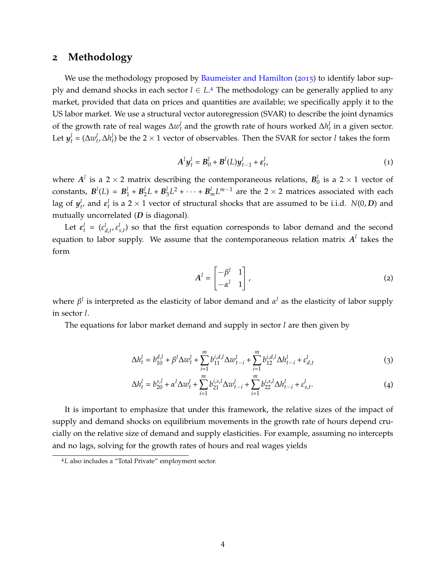### <span id="page-4-0"></span>**2 Methodology**

We use the methodology proposed by [Baumeister and Hamilton](#page-32-0) ([2015](#page-32-0)) to identify labor supply and demand shocks in each sector *l* ∈ *L*. [4](#page-4-1) The methodology can be generally applied to any market, provided that data on prices and quantities are available; we specifically apply it to the US labor market. We use a structural vector autoregression (SVAR) to describe the joint dynamics of the growth rate of real wages  $\Delta w_t^l$  and the growth rate of hours worked  $\Delta h_t^l$  in a given sector. Let  $y_t^l = (\Delta w_t^l, \Delta h_t^l)$  be the 2 × 1 vector of observables. Then the SVAR for sector *l* takes the form

$$
A^l y_t^l = B_0^l + B^l(L) y_{t-1}^l + \varepsilon_t^l,
$$
\n<sup>(1)</sup>

<span id="page-4-2"></span>where  $A^l$  is a 2  $\times$  2 matrix describing the contemporaneous relations,  $B^l_0$  is a 2  $\times$  1 vector of constants,  $B^l(L) = B_1^l + B_2^lL + B_3^lL^2 + \cdots + B_m^lL^{m-1}$  are the 2 × 2 matrices associated with each lag of  $y_t^l$ , and  $\varepsilon_t^l$  is a 2  $\times$  1 vector of structural shocks that are assumed to be i.i.d. *N*(0, *D*) and mutually uncorrelated (*D* is diagonal).

Let  $\varepsilon_t^l = (\varepsilon_{d,t}^l, \varepsilon_{s,t}^l)$  so that the first equation corresponds to labor demand and the second equation to labor supply. We assume that the contemporaneous relation matrix  $A^l$  takes the form

$$
A^{l} = \begin{bmatrix} -\beta^{l} & 1 \\ -\alpha^{l} & 1 \end{bmatrix},
$$
 (2)

where *β l* is interpreted as the elasticity of labor demand and *α <sup>l</sup>* as the elasticity of labor supply in sector *l*.

The equations for labor market demand and supply in sector *l* are then given by

$$
\Delta h_t^l = b_{10}^{d,l} + \beta^l \Delta w_t^l + \sum_{i=1}^m b_{11}^{i,d,l} \Delta w_{t-i}^l + \sum_{i=1}^m b_{12}^{i,d,l} \Delta h_{t-i}^l + \varepsilon_{d,t}^l
$$
\n(3)

$$
\Delta h_t^l = b_{20}^{s,l} + \alpha^l \Delta w_t^l + \sum_{i=1}^m b_{21}^{i,s,l} \Delta w_{t-i}^l + \sum_{i=1}^m b_{22}^{i,s,l} \Delta h_{t-i}^l + \varepsilon_{s,t}^l. \tag{4}
$$

It is important to emphasize that under this framework, the relative sizes of the impact of supply and demand shocks on equilibrium movements in the growth rate of hours depend crucially on the relative size of demand and supply elasticities. For example, assuming no intercepts and no lags, solving for the growth rates of hours and real wages yields

<span id="page-4-1"></span><sup>4</sup>*L* also includes a "Total Private" employment sector.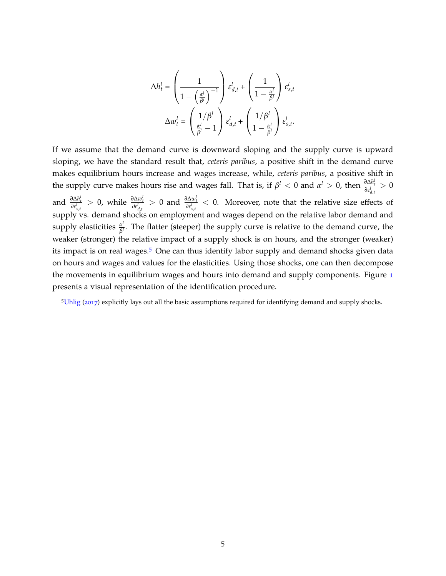$$
\Delta h_t^l = \left(\frac{1}{1 - \left(\frac{\alpha^l}{\beta^l}\right)^{-1}}\right) \varepsilon_{d,t}^l + \left(\frac{1}{1 - \frac{\alpha^l}{\beta^l}}\right) \varepsilon_{s,t}^l
$$

$$
\Delta w_t^l = \left(\frac{1/\beta^l}{\frac{\alpha^l}{\beta^l} - 1}\right) \varepsilon_{d,t}^l + \left(\frac{1/\beta^l}{1 - \frac{\alpha^l}{\beta^l}}\right) \varepsilon_{s,t}^l.
$$

If we assume that the demand curve is downward sloping and the supply curve is upward sloping, we have the standard result that, *ceteris paribus*, a positive shift in the demand curve makes equilibrium hours increase and wages increase, while, *ceteris paribus*, a positive shift in the supply curve makes hours rise and wages fall. That is, if  $\beta^l < 0$  and  $\alpha^l > 0$ , then  $\frac{\partial \Delta h_i^l}{\partial \epsilon^l_{d,t}} > 0$ and  $\frac{\partial \Delta h_i^l}{\partial \epsilon_{s,t}^l} > 0$ , while  $\frac{\partial \Delta w_i^l}{\partial \epsilon_{d,t}^l} > 0$  and  $\frac{\partial \Delta w_i^l}{\partial \epsilon_{s,t}^l} < 0$ . Moreover, note that the relative size effects of supply vs. demand shocks on employment and wages depend on the relative labor demand and supply elasticities  $\frac{\alpha^l}{\beta^l}$ *β l* . The flatter (steeper) the supply curve is relative to the demand curve, the weaker (stronger) the relative impact of a supply shock is on hours, and the stronger (weaker) its impact is on real wages.<sup>[5](#page-5-0)</sup> One can thus identify labor supply and demand shocks given data on hours and wages and values for the elasticities. Using those shocks, one can then decompose the movements in equilibrium wages and hours into demand and supply components. Figure [1](#page-6-0) presents a visual representation of the identification procedure.

<span id="page-5-0"></span><sup>5</sup>[Uhlig](#page-33-1) ([2017](#page-33-1)) explicitly lays out all the basic assumptions required for identifying demand and supply shocks.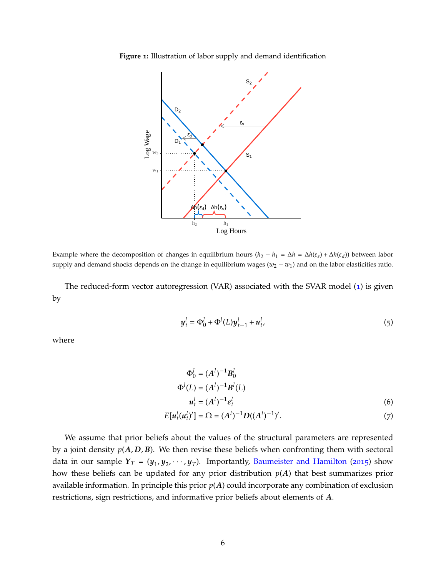<span id="page-6-0"></span>



Example where the decomposition of changes in equilibrium hours  $(h_2 - h_1 = \Delta h = \Delta h(\varepsilon_s) + \Delta h(\varepsilon_d))$  between labor supply and demand shocks depends on the change in equilibrium wages  $(w_2 - w_1)$  and on the labor elasticities ratio.

<span id="page-6-1"></span>The reduced-form vector autoregression (VAR) associated with the SVAR model ([1](#page-4-2)) is given by

$$
y_t^l = \Phi_0^l + \Phi^l(L)y_{t-1}^l + u_t^l,
$$
\n(5)

where

<span id="page-6-2"></span>
$$
\Phi_0^l = (A^l)^{-1} B_0^l
$$
  
\n
$$
\Phi^l(L) = (A^l)^{-1} B^l(L)
$$
  
\n
$$
u_t^l = (A^l)^{-1} \varepsilon_t^l
$$
\n(6)

$$
E[u_t^l(u_t^l)'] = \Omega = (A^l)^{-1}D((A^l)^{-1})'. \tag{7}
$$

We assume that prior beliefs about the values of the structural parameters are represented by a joint density  $p(A, D, B)$ . We then revise these beliefs when confronting them with sectoral data in our sample  $Y_T = (y_1, y_2, \dots, y_T)$ . Importantly, [Baumeister and Hamilton](#page-32-0) ([2015](#page-32-0)) show how these beliefs can be updated for any prior distribution *p*(*A*) that best summarizes prior available information. In principle this prior *p*(*A*) could incorporate any combination of exclusion restrictions, sign restrictions, and informative prior beliefs about elements of *A*.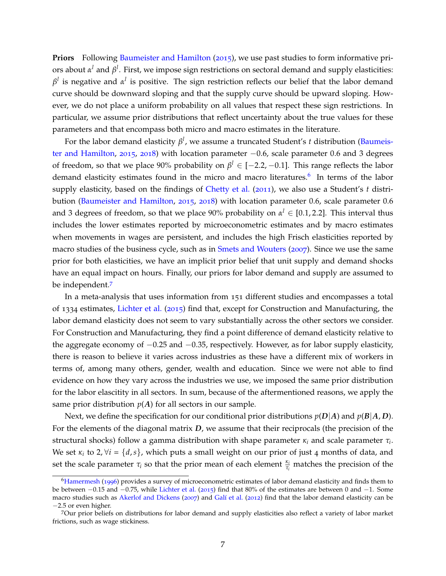**Priors** Following [Baumeister and Hamilton](#page-32-0) ([2015](#page-32-0)), we use past studies to form informative priors about *α <sup>l</sup>* and *β l* . First, we impose sign restrictions on sectoral demand and supply elasticities:  $\beta^l$  is negative and  $\alpha^l$  is positive. The sign restriction reflects our belief that the labor demand curve should be downward sloping and that the supply curve should be upward sloping. However, we do not place a uniform probability on all values that respect these sign restrictions. In particular, we assume prior distributions that reflect uncertainty about the true values for these parameters and that encompass both micro and macro estimates in the literature.

For the labor demand elasticity *β l* , we assume a truncated Student's *t* distribution [\(Baumeis](#page-32-0)[ter and Hamilton,](#page-32-0) [2015](#page-32-0), [2018](#page-32-8)) with location parameter −0.6, scale parameter 0.6 and 3 degrees of freedom, so that we place 90% probability on *β <sup>l</sup>* ∈ [−2.2, −0.1]. This range reflects the labor demand elasticity estimates found in the micro and macro literatures.<sup>[6](#page-7-0)</sup> In terms of the labor supply elasticity, based on the findings of [Chetty et al.](#page-32-9) ([2011](#page-32-9)), we also use a Student's *t* distri-bution [\(Baumeister and Hamilton,](#page-32-0) [2015](#page-32-0), [2018](#page-32-8)) with location parameter 0.6, scale parameter 0.6 and 3 degrees of freedom, so that we place 90% probability on  $\alpha^l \in [0.1, 2.2]$ . This interval thus includes the lower estimates reported by microeconometric estimates and by macro estimates when movements in wages are persistent, and includes the high Frisch elasticities reported by macro studies of the business cycle, such as in [Smets and Wouters](#page-33-2) ([2007](#page-33-2)). Since we use the same prior for both elasticities, we have an implicit prior belief that unit supply and demand shocks have an equal impact on hours. Finally, our priors for labor demand and supply are assumed to be independent.[7](#page-7-1)

In a meta-analysis that uses information from 151 different studies and encompasses a total of 1334 estimates, [Lichter et al.](#page-33-3) ([2015](#page-33-3)) find that, except for Construction and Manufacturing, the labor demand elasticity does not seem to vary substantially across the other sectors we consider. For Construction and Manufacturing, they find a point difference of demand elasticity relative to the aggregate economy of −0.25 and −0.35, respectively. However, as for labor supply elasticity, there is reason to believe it varies across industries as these have a different mix of workers in terms of, among many others, gender, wealth and education. Since we were not able to find evidence on how they vary across the industries we use, we imposed the same prior distribution for the labor elascitity in all sectors. In sum, because of the aftermentioned reasons, we apply the same prior distribution  $p(A)$  for all sectors in our sample.

Next, we define the specification for our conditional prior distributions  $p(D|A)$  and  $p(B|A, D)$ . For the elements of the diagonal matrix *D*, we assume that their reciprocals (the precision of the structural shocks) follow a gamma distribution with shape parameter *κ<sup>i</sup>* and scale parameter *τ<sup>i</sup>* . We set  $\kappa_i$  to 2,  $\forall i = \{d, s\}$ , which puts a small weight on our prior of just 4 months of data, and set the scale parameter  $\tau_i$  so that the prior mean of each element  $\frac{\kappa_i}{\tau_i}$  matches the precision of the

<span id="page-7-0"></span><sup>&</sup>lt;sup>6</sup>[Hamermesh](#page-33-4) ([1996](#page-33-4)) provides a survey of microeconometric estimates of labor demand elasticity and finds them to be between −0.15 and −0.75, while [Lichter et al.](#page-33-3) ([2015](#page-33-3)) find that 80% of the estimates are between 0 and −1. Some macro studies such as [Akerlof and Dickens](#page-32-10) ([2007](#page-32-10)) and Galí et al. ([2012](#page-33-5)) find that the labor demand elasticity can be −2.5 or even higher.

<span id="page-7-1"></span><sup>7</sup>Our prior beliefs on distributions for labor demand and supply elasticities also reflect a variety of labor market frictions, such as wage stickiness.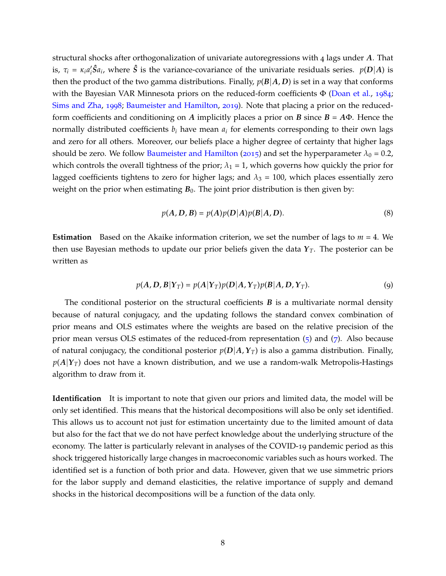structural shocks after orthogonalization of univariate autoregressions with 4 lags under *A*. That is,  $\tau_i = \kappa_i a_i' \hat{S} a_i$ , where  $\hat{S}$  is the variance-covariance of the univariate residuals series.  $p(D|A)$  is then the product of the two gamma distributions. Finally,  $p(B|A, D)$  is set in a way that conforms with the Bayesian VAR Minnesota priors on the reduced-form coefficients  $\Phi$  [\(Doan et al.,](#page-32-11) [1984](#page-32-11); [Sims and Zha,](#page-33-6) [1998](#page-33-6); [Baumeister and Hamilton,](#page-32-12) [2019](#page-32-12)). Note that placing a prior on the reducedform coefficients and conditioning on *A* implicitly places a prior on *B* since *B* = *A*Φ. Hence the normally distributed coefficients  $b_i$  have mean  $a_i$  for elements corresponding to their own lags and zero for all others. Moreover, our beliefs place a higher degree of certainty that higher lags should be zero. We follow [Baumeister and Hamilton](#page-32-0) ([2015](#page-32-0)) and set the hyperparameter  $\lambda_0 = 0.2$ , which controls the overall tightness of the prior;  $\lambda_1 = 1$ , which governs how quickly the prior for lagged coefficients tightens to zero for higher lags; and  $\lambda_3 = 100$ , which places essentially zero weight on the prior when estimating  $B_0$ . The joint prior distribution is then given by:

$$
p(A, D, B) = p(A)p(D|A)p(B|A, D). \tag{8}
$$

**Estimation** Based on the Akaike information criterion, we set the number of lags to *m* = 4. We then use Bayesian methods to update our prior beliefs given the data  $Y_T$ . The posterior can be written as

$$
p(A, D, B|Y_T) = p(A|Y_T)p(D|A, Y_T)p(B|A, D, Y_T).
$$
\n(9)

The conditional posterior on the structural coefficients *B* is a multivariate normal density because of natural conjugacy, and the updating follows the standard convex combination of prior means and OLS estimates where the weights are based on the relative precision of the prior mean versus OLS estimates of the reduced-from representation  $(5)$  $(5)$  $(5)$  and  $(7)$  $(7)$  $(7)$ . Also because of natural conjugacy, the conditional posterior  $p(D|A, Y_T)$  is also a gamma distribution. Finally,  $p(A|Y_T)$  does not have a known distribution, and we use a random-walk Metropolis-Hastings algorithm to draw from it.

**Identification** It is important to note that given our priors and limited data, the model will be only set identified. This means that the historical decompositions will also be only set identified. This allows us to account not just for estimation uncertainty due to the limited amount of data but also for the fact that we do not have perfect knowledge about the underlying structure of the economy. The latter is particularly relevant in analyses of the COVID-19 pandemic period as this shock triggered historically large changes in macroeconomic variables such as hours worked. The identified set is a function of both prior and data. However, given that we use simmetric priors for the labor supply and demand elasticities, the relative importance of supply and demand shocks in the historical decompositions will be a function of the data only.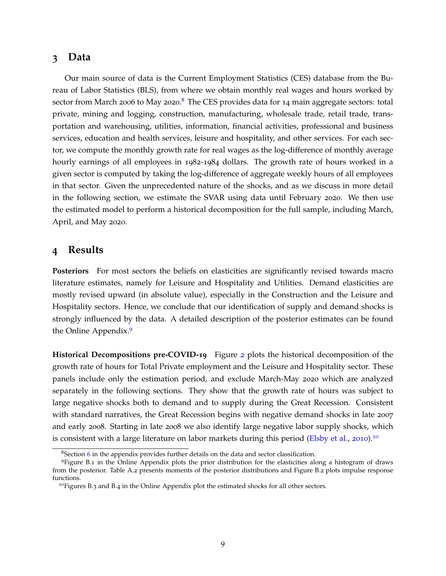### <span id="page-9-0"></span>**3 Data**

Our main source of data is the Current Employment Statistics (CES) database from the Bureau of Labor Statistics (BLS), from where we obtain monthly real wages and hours worked by sector from March 2006 to May 2020.<sup>[8](#page-9-2)</sup> The CES provides data for 14 main aggregate sectors: total private, mining and logging, construction, manufacturing, wholesale trade, retail trade, transportation and warehousing, utilities, information, financial activities, professional and business services, education and health services, leisure and hospitality, and other services. For each sector, we compute the monthly growth rate for real wages as the log-difference of monthly average hourly earnings of all employees in 1982-1984 dollars. The growth rate of hours worked in a given sector is computed by taking the log-difference of aggregate weekly hours of all employees in that sector. Given the unprecedented nature of the shocks, and as we discuss in more detail in the following section, we estimate the SVAR using data until February 2020. We then use the estimated model to perform a historical decomposition for the full sample, including March, April, and May 2020.

### <span id="page-9-1"></span>**4 Results**

**Posteriors** For most sectors the beliefs on elasticities are significantly revised towards macro literature estimates, namely for Leisure and Hospitality and Utilities. Demand elasticities are mostly revised upward (in absolute value), especially in the Construction and the Leisure and Hospitality sectors. Hence, we conclude that our identification of supply and demand shocks is strongly influenced by the data. A detailed description of the posterior estimates can be found the Online Appendix.[9](#page-9-3)

**Historical Decompositions pre-COVID-19** Figure [2](#page-10-0) plots the historical decomposition of the growth rate of hours for Total Private employment and the Leisure and Hospitality sector. These panels include only the estimation period, and exclude March-May 2020 which are analyzed separately in the following sections. They show that the growth rate of hours was subject to large negative shocks both to demand and to supply during the Great Recession. Consistent with standard narratives, the Great Recession begins with negative demand shocks in late 2007 and early 2008. Starting in late 2008 we also identify large negative labor supply shocks, which is consistent with a large literature on labor markets during this period [\(Elsby et al.,](#page-32-13) [2010](#page-32-13)).<sup>[10](#page-9-4)</sup>

<span id="page-9-3"></span><span id="page-9-2"></span><sup>8</sup>Section [6](#page-34-0) in the appendix provides further details on the data and sector classification.

<sup>9</sup>Figure B.1 in the Online Appendix plots the prior distribution for the elasticities along a histogram of draws from the posterior. Table A.2 presents moments of the posterior distributions and Figure B.2 plots impulse response functions.

<span id="page-9-4"></span><sup>&</sup>lt;sup>10</sup>Figures B.3 and B.4 in the Online Appendix plot the estimated shocks for all other sectors.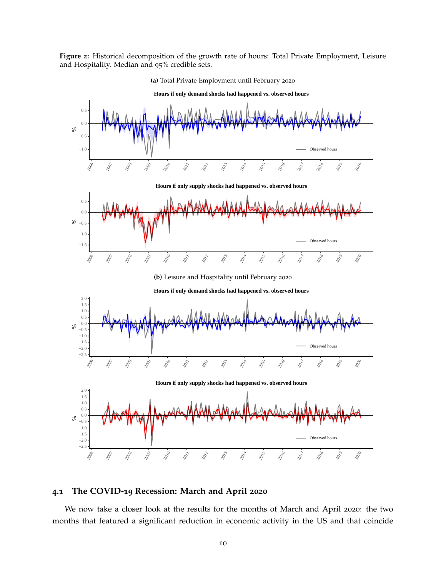<span id="page-10-0"></span>**Figure 2:** Historical decomposition of the growth rate of hours: Total Private Employment, Leisure and Hospitality. Median and 95% credible sets.



**(a)** Total Private Employment until February 2020

### **4.1 The COVID-19 Recession: March and April 2020**

We now take a closer look at the results for the months of March and April 2020: the two months that featured a significant reduction in economic activity in the US and that coincide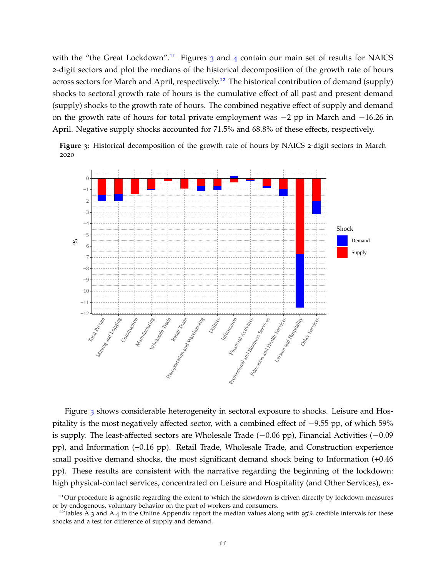with the "the Great Lockdown".<sup>[11](#page-11-0)</sup> Figures  $\frac{1}{3}$  $\frac{1}{3}$  $\frac{1}{3}$  and  $\frac{1}{4}$  $\frac{1}{4}$  $\frac{1}{4}$  contain our main set of results for NAICS 2-digit sectors and plot the medians of the historical decomposition of the growth rate of hours across sectors for March and April, respectively.[12](#page-11-2) The historical contribution of demand (supply) shocks to sectoral growth rate of hours is the cumulative effect of all past and present demand (supply) shocks to the growth rate of hours. The combined negative effect of supply and demand on the growth rate of hours for total private employment was −2 pp in March and −16.26 in April. Negative supply shocks accounted for 71.5% and 68.8% of these effects, respectively.

<span id="page-11-1"></span>**Figure 3:** Historical decomposition of the growth rate of hours by NAICS 2-digit sectors in March 2020



Figure [3](#page-11-1) shows considerable heterogeneity in sectoral exposure to shocks. Leisure and Hospitality is the most negatively affected sector, with a combined effect of −9.55 pp, of which 59% is supply. The least-affected sectors are Wholesale Trade (−0.06 pp), Financial Activities (−0.09 pp), and Information (+0.16 pp). Retail Trade, Wholesale Trade, and Construction experience small positive demand shocks, the most significant demand shock being to Information  $(+0.46)$ pp). These results are consistent with the narrative regarding the beginning of the lockdown: high physical-contact services, concentrated on Leisure and Hospitality (and Other Services), ex-

<span id="page-11-0"></span><sup>&</sup>lt;sup>11</sup>Our procedure is agnostic regarding the extent to which the slowdown is driven directly by lockdown measures or by endogenous, voluntary behavior on the part of workers and consumers.

<span id="page-11-2"></span><sup>&</sup>lt;sup>12</sup>Tables A.3 and A.4 in the Online Appendix report the median values along with 95% credible intervals for these shocks and a test for difference of supply and demand.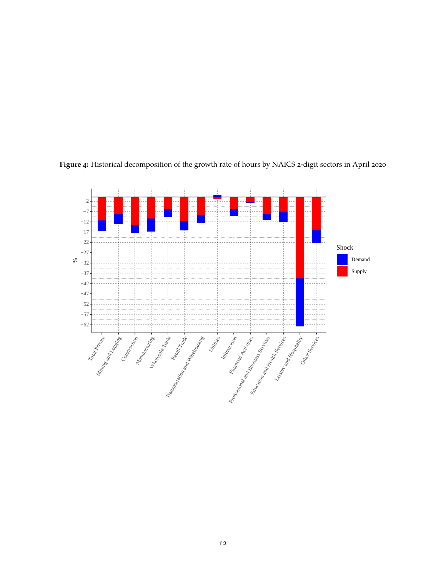

<span id="page-12-0"></span>**Figure 4:** Historical decomposition of the growth rate of hours by NAICS 2-digit sectors in April 2020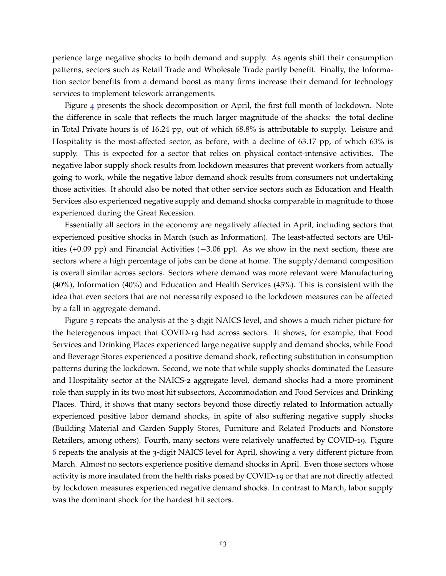perience large negative shocks to both demand and supply. As agents shift their consumption patterns, sectors such as Retail Trade and Wholesale Trade partly benefit. Finally, the Information sector benefits from a demand boost as many firms increase their demand for technology services to implement telework arrangements.

Figure [4](#page-12-0) presents the shock decomposition or April, the first full month of lockdown. Note the difference in scale that reflects the much larger magnitude of the shocks: the total decline in Total Private hours is of 16.24 pp, out of which 68.8% is attributable to supply. Leisure and Hospitality is the most-affected sector, as before, with a decline of 63.17 pp, of which 63% is supply. This is expected for a sector that relies on physical contact-intensive activities. The negative labor supply shock results from lockdown measures that prevent workers from actually going to work, while the negative labor demand shock results from consumers not undertaking those activities. It should also be noted that other service sectors such as Education and Health Services also experienced negative supply and demand shocks comparable in magnitude to those experienced during the Great Recession.

Essentially all sectors in the economy are negatively affected in April, including sectors that experienced positive shocks in March (such as Information). The least-affected sectors are Utilities (+0.09 pp) and Financial Activities (−3.06 pp). As we show in the next section, these are sectors where a high percentage of jobs can be done at home. The supply/demand composition is overall similar across sectors. Sectors where demand was more relevant were Manufacturing (40%), Information (40%) and Education and Health Services (45%). This is consistent with the idea that even sectors that are not necessarily exposed to the lockdown measures can be affected by a fall in aggregate demand.

Figure [5](#page-14-0) repeats the analysis at the 3-digit NAICS level, and shows a much richer picture for the heterogenous impact that COVID-19 had across sectors. It shows, for example, that Food Services and Drinking Places experienced large negative supply and demand shocks, while Food and Beverage Stores experienced a positive demand shock, reflecting substitution in consumption patterns during the lockdown. Second, we note that while supply shocks dominated the Leasure and Hospitality sector at the NAICS-2 aggregate level, demand shocks had a more prominent role than supply in its two most hit subsectors, Accommodation and Food Services and Drinking Places. Third, it shows that many sectors beyond those directly related to Information actually experienced positive labor demand shocks, in spite of also suffering negative supply shocks (Building Material and Garden Supply Stores, Furniture and Related Products and Nonstore Retailers, among others). Fourth, many sectors were relatively unaffected by COVID-19. Figure [6](#page-15-0) repeats the analysis at the 3-digit NAICS level for April, showing a very different picture from March. Almost no sectors experience positive demand shocks in April. Even those sectors whose activity is more insulated from the helth risks posed by COVID-19 or that are not directly affected by lockdown measures experienced negative demand shocks. In contrast to March, labor supply was the dominant shock for the hardest hit sectors.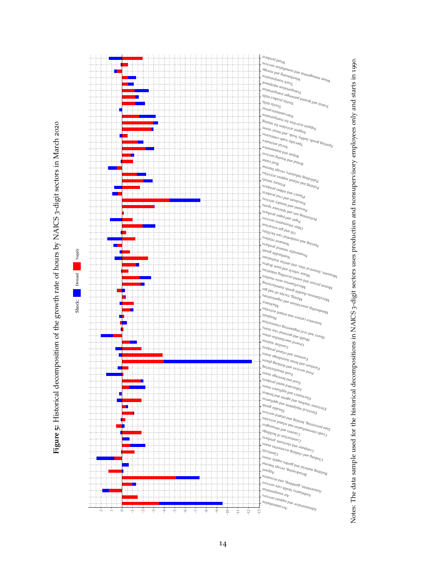Figure 5: Historical decomposition of the growth rate of hours by NAICS 3-digit sectors in March 2020 **Figure 5:** Historical decomposition of the growth rate of hours by NAICS 3-digit sectors in March 2020

<span id="page-14-0"></span>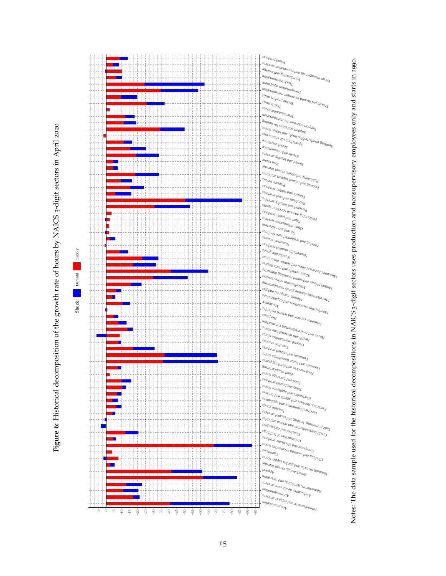Figure 6: Historical decomposition of the growth rate of hours by NAICS 3-digit sectors in April 2020 **Figure 6:** Historical decomposition of the growth rate of hours by NAICS 3-digit sectors in April 2020

<span id="page-15-0"></span>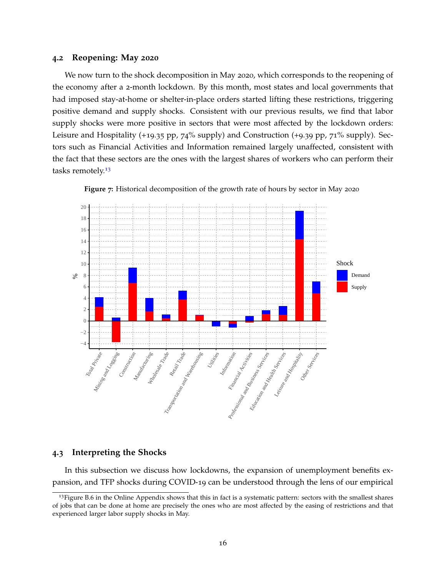#### **4.2 Reopening: May 2020**

We now turn to the shock decomposition in May 2020, which corresponds to the reopening of the economy after a 2-month lockdown. By this month, most states and local governments that had imposed stay-at-home or shelter-in-place orders started lifting these restrictions, triggering positive demand and supply shocks. Consistent with our previous results, we find that labor supply shocks were more positive in sectors that were most affected by the lockdown orders: Leisure and Hospitality (+19.35 pp, 74% supply) and Construction (+9.39 pp, 71% supply). Sectors such as Financial Activities and Information remained largely unaffected, consistent with the fact that these sectors are the ones with the largest shares of workers who can perform their tasks remotely.<sup>[13](#page-16-0)</sup>





#### **4.3 Interpreting the Shocks**

In this subsection we discuss how lockdowns, the expansion of unemployment benefits expansion, and TFP shocks during COVID-19 can be understood through the lens of our empirical

<span id="page-16-0"></span> $13$  Figure B.6 in the Online Appendix shows that this in fact is a systematic pattern: sectors with the smallest shares of jobs that can be done at home are precisely the ones who are most affected by the easing of restrictions and that experienced larger labor supply shocks in May.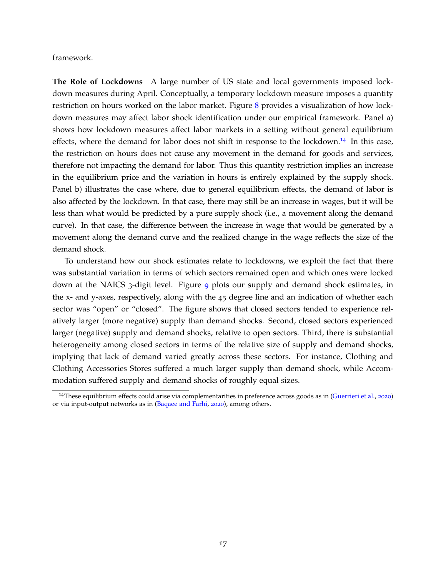framework.

**The Role of Lockdowns** A large number of US state and local governments imposed lockdown measures during April. Conceptually, a temporary lockdown measure imposes a quantity restriction on hours worked on the labor market. Figure [8](#page-18-0) provides a visualization of how lockdown measures may affect labor shock identification under our empirical framework. Panel a) shows how lockdown measures affect labor markets in a setting without general equilibrium effects, where the demand for labor does not shift in response to the lockdown.<sup>[14](#page-17-0)</sup> In this case, the restriction on hours does not cause any movement in the demand for goods and services, therefore not impacting the demand for labor. Thus this quantity restriction implies an increase in the equilibrium price and the variation in hours is entirely explained by the supply shock. Panel b) illustrates the case where, due to general equilibrium effects, the demand of labor is also affected by the lockdown. In that case, there may still be an increase in wages, but it will be less than what would be predicted by a pure supply shock (i.e., a movement along the demand curve). In that case, the difference between the increase in wage that would be generated by a movement along the demand curve and the realized change in the wage reflects the size of the demand shock.

To understand how our shock estimates relate to lockdowns, we exploit the fact that there was substantial variation in terms of which sectors remained open and which ones were locked down at the NAICS 3-digit level. Figure [9](#page-19-0) plots our supply and demand shock estimates, in the x- and y-axes, respectively, along with the 45 degree line and an indication of whether each sector was "open" or "closed". The figure shows that closed sectors tended to experience relatively larger (more negative) supply than demand shocks. Second, closed sectors experienced larger (negative) supply and demand shocks, relative to open sectors. Third, there is substantial heterogeneity among closed sectors in terms of the relative size of supply and demand shocks, implying that lack of demand varied greatly across these sectors. For instance, Clothing and Clothing Accessories Stores suffered a much larger supply than demand shock, while Accommodation suffered supply and demand shocks of roughly equal sizes.

<span id="page-17-0"></span><sup>&</sup>lt;sup>14</sup>These equilibrium effects could arise via complementarities in preference across goods as in [\(Guerrieri et al.,](#page-33-0) [2020](#page-33-0)) or via input-output networks as in [\(Baqaee and Farhi,](#page-32-1) [2020](#page-32-1)), among others.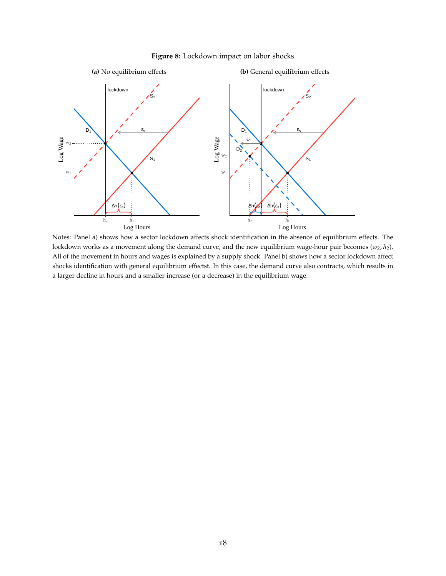### **Figure 8:** Lockdown impact on labor shocks

<span id="page-18-0"></span>

Notes: Panel a) shows how a sector lockdown affects shock identification in the absence of equilibrium effects. The lockdown works as a movement along the demand curve, and the new equilibrium wage-hour pair becomes  $(w_2, h_2)$ . All of the movement in hours and wages is explained by a supply shock. Panel b) shows how a sector lockdown affect shocks identification with general equilibrium effectst. In this case, the demand curve also contracts, which results in a larger decline in hours and a smaller increase (or a decrease) in the equilibrium wage.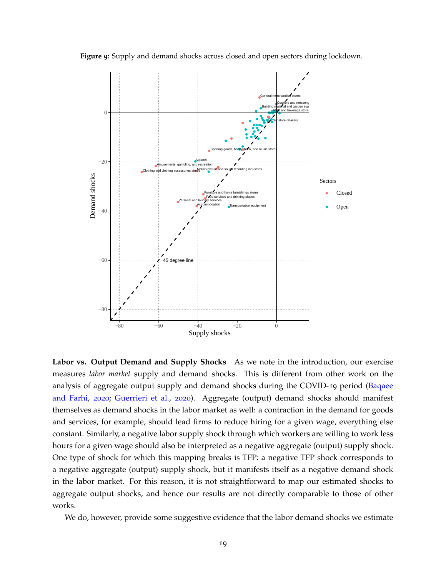<span id="page-19-0"></span>



**Labor vs. Output Demand and Supply Shocks** As we note in the introduction, our exercise measures *labor market* supply and demand shocks. This is different from other work on the analysis of aggregate output supply and demand shocks during the COVID-19 period [\(Baqaee](#page-32-1) [and Farhi,](#page-32-1) [2020](#page-32-1); [Guerrieri et al.,](#page-33-0) [2020](#page-33-0)). Aggregate (output) demand shocks should manifest themselves as demand shocks in the labor market as well: a contraction in the demand for goods and services, for example, should lead firms to reduce hiring for a given wage, everything else constant. Similarly, a negative labor supply shock through which workers are willing to work less hours for a given wage should also be interpreted as a negative aggregate (output) supply shock. One type of shock for which this mapping breaks is TFP: a negative TFP shock corresponds to a negative aggregate (output) supply shock, but it manifests itself as a negative demand shock in the labor market. For this reason, it is not straightforward to map our estimated shocks to aggregate output shocks, and hence our results are not directly comparable to those of other works.

We do, however, provide some suggestive evidence that the labor demand shocks we estimate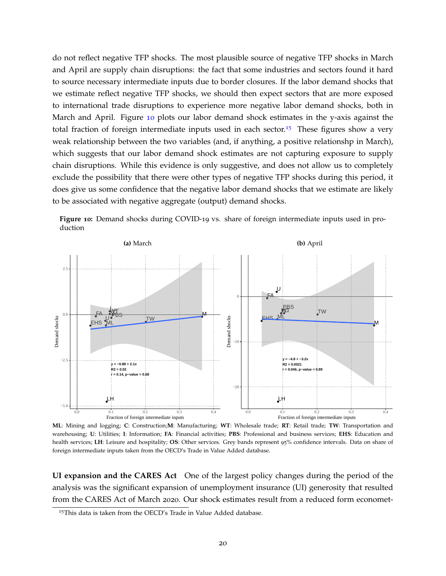do not reflect negative TFP shocks. The most plausible source of negative TFP shocks in March and April are supply chain disruptions: the fact that some industries and sectors found it hard to source necessary intermediate inputs due to border closures. If the labor demand shocks that we estimate reflect negative TFP shocks, we should then expect sectors that are more exposed to international trade disruptions to experience more negative labor demand shocks, both in March and April. Figure [10](#page-20-0) plots our labor demand shock estimates in the y-axis against the total fraction of foreign intermediate inputs used in each sector.<sup>[15](#page-20-1)</sup> These figures show a very weak relationship between the two variables (and, if anything, a positive relationshp in March), which suggests that our labor demand shock estimates are not capturing exposure to supply chain disruptions. While this evidence is only suggestive, and does not allow us to completely exclude the possibility that there were other types of negative TFP shocks during this period, it does give us some confidence that the negative labor demand shocks that we estimate are likely to be associated with negative aggregate (output) demand shocks.

<span id="page-20-0"></span>



**ML**: Mining and logging; **C**: Construction;**M**: Manufacturing; **WT**: Wholesale trade; **RT**: Retail trade; **TW**: Transportation and warehousing; **U**: Utilities; **I**: Information; **FA**: Financial activities; **PBS**: Professional and business services; **EHS**: Education and health services; **LH**: Leisure and hospitality; **OS**: Other services. Grey bands represent 95% confidence intervals. Data on share of foreign intermediate inputs taken from the OECD's Trade in Value Added database.

**UI expansion and the CARES Act** One of the largest policy changes during the period of the analysis was the significant expansion of unemployment insurance (UI) generosity that resulted from the CARES Act of March 2020. Our shock estimates result from a reduced form economet-

<span id="page-20-1"></span><sup>&</sup>lt;sup>15</sup>This data is taken from the OECD's Trade in Value Added database.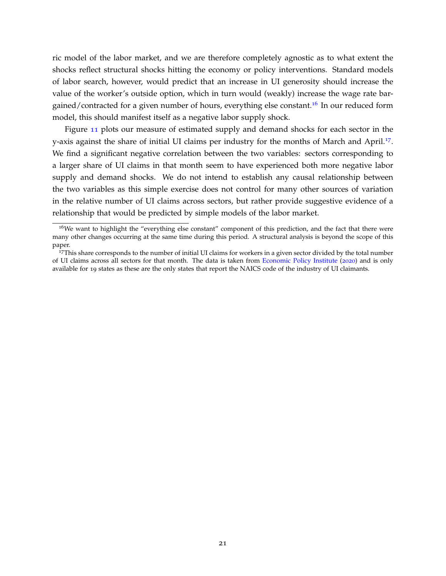ric model of the labor market, and we are therefore completely agnostic as to what extent the shocks reflect structural shocks hitting the economy or policy interventions. Standard models of labor search, however, would predict that an increase in UI generosity should increase the value of the worker's outside option, which in turn would (weakly) increase the wage rate bar-gained/contracted for a given number of hours, everything else constant.<sup>[16](#page-21-0)</sup> In our reduced form model, this should manifest itself as a negative labor supply shock.

Figure [11](#page-22-0) plots our measure of estimated supply and demand shocks for each sector in the y-axis against the share of initial UI claims per industry for the months of March and April.<sup>[17](#page-21-1)</sup>. We find a significant negative correlation between the two variables: sectors corresponding to a larger share of UI claims in that month seem to have experienced both more negative labor supply and demand shocks. We do not intend to establish any causal relationship between the two variables as this simple exercise does not control for many other sources of variation in the relative number of UI claims across sectors, but rather provide suggestive evidence of a relationship that would be predicted by simple models of the labor market.

<span id="page-21-0"></span><sup>&</sup>lt;sup>16</sup>We want to highlight the "everything else constant" component of this prediction, and the fact that there were many other changes occurring at the same time during this period. A structural analysis is beyond the scope of this paper.

<span id="page-21-1"></span><sup>&</sup>lt;sup>17</sup>This share corresponds to the number of initial UI claims for workers in a given sector divided by the total number of UI claims across all sectors for that month. The data is taken from [Economic Policy Institute](#page-32-14) ([2020](#page-32-14)) and is only available for 19 states as these are the only states that report the NAICS code of the industry of UI claimants.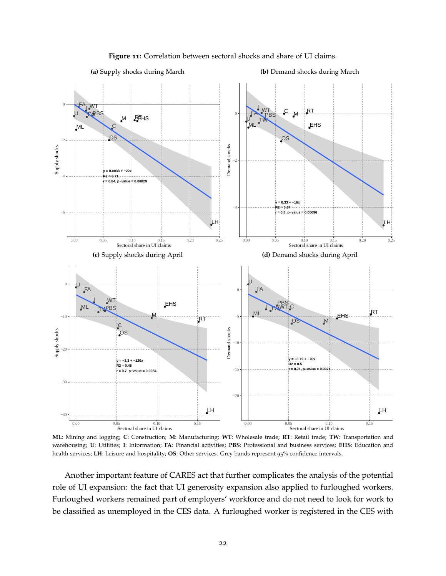<span id="page-22-0"></span>

#### **Figure 11:** Correlation between sectoral shocks and share of UI claims.

**(b)** Demand shocks during March

**ML**: Mining and logging; **C**: Construction; **M**: Manufacturing; **WT**: Wholesale trade; **RT**: Retail trade; **TW**: Transportation and warehousing; **U**: Utilities; **I**: Information; **FA**: Financial activities; **PBS**: Professional and business services; **EHS**: Education and health services; **LH**: Leisure and hospitality; **OS**: Other services. Grey bands represent 95% confidence intervals.

Another important feature of CARES act that further complicates the analysis of the potential role of UI expansion: the fact that UI generosity expansion also applied to furloughed workers. Furloughed workers remained part of employers' workforce and do not need to look for work to be classified as unemployed in the CES data. A furloughed worker is registered in the CES with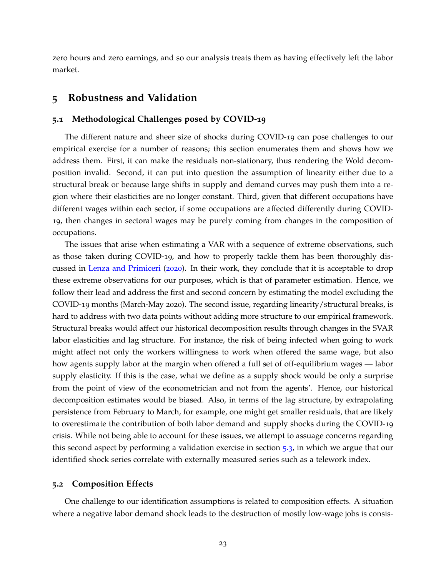zero hours and zero earnings, and so our analysis treats them as having effectively left the labor market.

### <span id="page-23-0"></span>**5 Robustness and Validation**

### **5.1 Methodological Challenges posed by COVID-19**

The different nature and sheer size of shocks during COVID-19 can pose challenges to our empirical exercise for a number of reasons; this section enumerates them and shows how we address them. First, it can make the residuals non-stationary, thus rendering the Wold decomposition invalid. Second, it can put into question the assumption of linearity either due to a structural break or because large shifts in supply and demand curves may push them into a region where their elasticities are no longer constant. Third, given that different occupations have different wages within each sector, if some occupations are affected differently during COVID-19, then changes in sectoral wages may be purely coming from changes in the composition of occupations.

The issues that arise when estimating a VAR with a sequence of extreme observations, such as those taken during COVID-19, and how to properly tackle them has been thoroughly discussed in [Lenza and Primiceri](#page-33-7) ([2020](#page-33-7)). In their work, they conclude that it is acceptable to drop these extreme observations for our purposes, which is that of parameter estimation. Hence, we follow their lead and address the first and second concern by estimating the model excluding the COVID-19 months (March-May 2020). The second issue, regarding linearity/structural breaks, is hard to address with two data points without adding more structure to our empirical framework. Structural breaks would affect our historical decomposition results through changes in the SVAR labor elasticities and lag structure. For instance, the risk of being infected when going to work might affect not only the workers willingness to work when offered the same wage, but also how agents supply labor at the margin when offered a full set of off-equilibrium wages — labor supply elasticity. If this is the case, what we define as a supply shock would be only a surprise from the point of view of the econometrician and not from the agents'. Hence, our historical decomposition estimates would be biased. Also, in terms of the lag structure, by extrapolating persistence from February to March, for example, one might get smaller residuals, that are likely to overestimate the contribution of both labor demand and supply shocks during the COVID-19 crisis. While not being able to account for these issues, we attempt to assuage concerns regarding this second aspect by performing a validation exercise in section [5](#page-29-0).3, in which we argue that our identified shock series correlate with externally measured series such as a telework index.

### **5.2 Composition Effects**

One challenge to our identification assumptions is related to composition effects. A situation where a negative labor demand shock leads to the destruction of mostly low-wage jobs is consis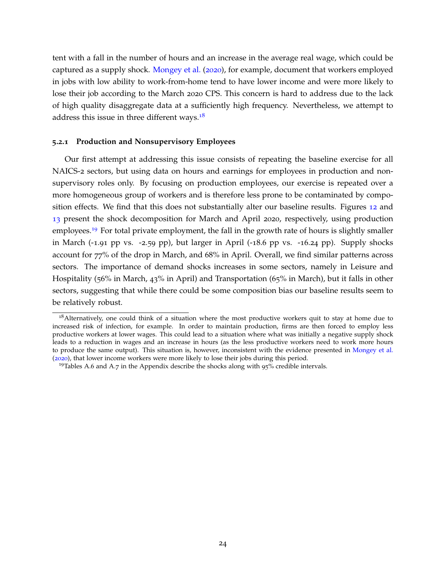tent with a fall in the number of hours and an increase in the average real wage, which could be captured as a supply shock. [Mongey et al.](#page-33-8) ([2020](#page-33-8)), for example, document that workers employed in jobs with low ability to work-from-home tend to have lower income and were more likely to lose their job according to the March 2020 CPS. This concern is hard to address due to the lack of high quality disaggregate data at a sufficiently high frequency. Nevertheless, we attempt to address this issue in three different ways. $18$ 

#### **5.2.1 Production and Nonsupervisory Employees**

Our first attempt at addressing this issue consists of repeating the baseline exercise for all NAICS-2 sectors, but using data on hours and earnings for employees in production and nonsupervisory roles only. By focusing on production employees, our exercise is repeated over a more homogeneous group of workers and is therefore less prone to be contaminated by composition effects. We find that this does not substantially alter our baseline results. Figures [12](#page-25-0) and [13](#page-26-0) present the shock decomposition for March and April 2020, respectively, using production employees.<sup>[19](#page-24-1)</sup> For total private employment, the fall in the growth rate of hours is slightly smaller in March (-1.91 pp vs. -2.59 pp), but larger in April (-18.6 pp vs. -16.24 pp). Supply shocks account for 77% of the drop in March, and 68% in April. Overall, we find similar patterns across sectors. The importance of demand shocks increases in some sectors, namely in Leisure and Hospitality (56% in March, 43% in April) and Transportation (65% in March), but it falls in other sectors, suggesting that while there could be some composition bias our baseline results seem to be relatively robust.

<span id="page-24-0"></span><sup>&</sup>lt;sup>18</sup> Alternatively, one could think of a situation where the most productive workers quit to stay at home due to increased risk of infection, for example. In order to maintain production, firms are then forced to employ less productive workers at lower wages. This could lead to a situation where what was initially a negative supply shock leads to a reduction in wages and an increase in hours (as the less productive workers need to work more hours to produce the same output). This situation is, however, inconsistent with the evidence presented in [Mongey et al.](#page-33-8) ([2020](#page-33-8)), that lower income workers were more likely to lose their jobs during this period.

<span id="page-24-1"></span><sup>&</sup>lt;sup>19</sup>Tables A.6 and A.7 in the Appendix describe the shocks along with  $95\%$  credible intervals.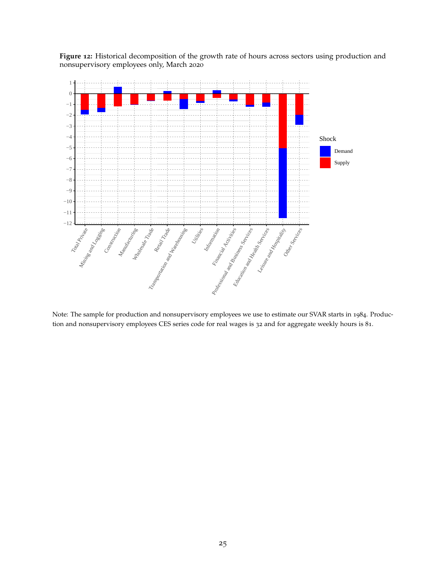<span id="page-25-0"></span>**Figure 12:** Historical decomposition of the growth rate of hours across sectors using production and nonsupervisory employees only, March 2020



Note: The sample for production and nonsupervisory employees we use to estimate our SVAR starts in 1984. Production and nonsupervisory employees CES series code for real wages is 32 and for aggregate weekly hours is 81.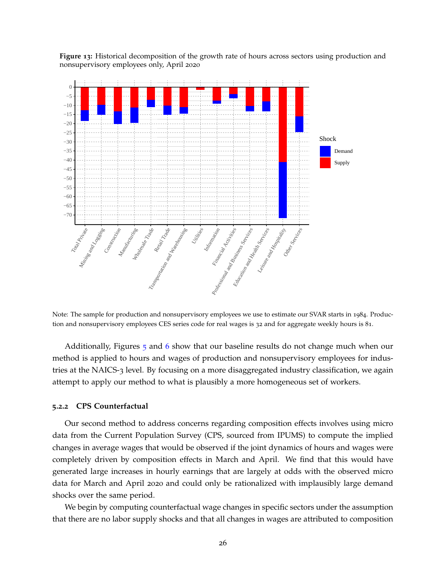<span id="page-26-0"></span>**Figure 13:** Historical decomposition of the growth rate of hours across sectors using production and nonsupervisory employees only, April 2020



Note: The sample for production and nonsupervisory employees we use to estimate our SVAR starts in 1984. Production and nonsupervisory employees CES series code for real wages is 32 and for aggregate weekly hours is 81.

Additionally, Figures  $\frac{1}{2}$  and [6](#page-15-0) show that our baseline results do not change much when our method is applied to hours and wages of production and nonsupervisory employees for industries at the NAICS-3 level. By focusing on a more disaggregated industry classification, we again attempt to apply our method to what is plausibly a more homogeneous set of workers.

#### **5.2.2 CPS Counterfactual**

Our second method to address concerns regarding composition effects involves using micro data from the Current Population Survey (CPS, sourced from IPUMS) to compute the implied changes in average wages that would be observed if the joint dynamics of hours and wages were completely driven by composition effects in March and April. We find that this would have generated large increases in hourly earnings that are largely at odds with the observed micro data for March and April 2020 and could only be rationalized with implausibly large demand shocks over the same period.

We begin by computing counterfactual wage changes in specific sectors under the assumption that there are no labor supply shocks and that all changes in wages are attributed to composition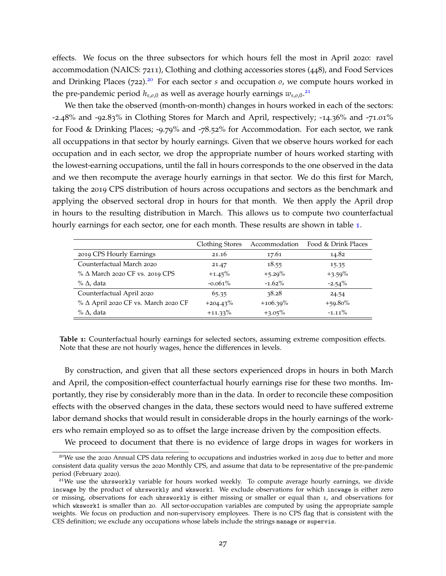effects. We focus on the three subsectors for which hours fell the most in April 2020: ravel accommodation (NAICS: 7211), Clothing and clothing accessories stores (448), and Food Services and Drinking Places  $(722)^{20}$  $(722)^{20}$  $(722)^{20}$  For each sector *s* and occupation *o*, we compute hours worked in the pre-pandemic period *hs*,*o*,0 as well as average hourly earnings *ws*,*o*,0. [21](#page-27-1)

We then take the observed (month-on-month) changes in hours worked in each of the sectors: -2.48% and -92.83% in Clothing Stores for March and April, respectively; -14.36% and -71.01% for Food & Drinking Places; -9.79% and -78.52% for Accommodation. For each sector, we rank all occuppations in that sector by hourly earnings. Given that we observe hours worked for each occupation and in each sector, we drop the appropriate number of hours worked starting with the lowest-earning occupations, until the fall in hours corresponds to the one observed in the data and we then recompute the average hourly earnings in that sector. We do this first for March, taking the 2019 CPS distribution of hours across occupations and sectors as the benchmark and applying the observed sectoral drop in hours for that month. We then apply the April drop in hours to the resulting distribution in March. This allows us to compute two counterfactual hourly earnings for each sector, one for each month. These results are shown in table [1](#page-27-2).

<span id="page-27-2"></span>

|                                       | Clothing Stores | Accommodation | Food & Drink Places |
|---------------------------------------|-----------------|---------------|---------------------|
| 2019 CPS Hourly Earnings              | 21.16           | 17.61         | 14.82               |
| Counterfactual March 2020             | 21.47           | 18.55         | 15.35               |
| $% \Delta$ March 2020 CF vs. 2019 CPS | $+1.45%$        | $+5.29%$      | $+3.59\%$           |
| $\%$ $\Delta$ , data                  | $-0.061\%$      | $-1.62\%$     | $-2.54%$            |
| Counterfactual April 2020             | 65.35           | 38.28         | 24.54               |
| % Δ April 2020 CF vs. March 2020 CF   | $+204.43\%$     | $+106.39\%$   | $+59.80\%$          |
| $\%$ $\Delta$ , data                  | $+11.33\%$      | $+3.05%$      | $-1.11\%$           |

**Table 1:** Counterfactual hourly earnings for selected sectors, assuming extreme composition effects. Note that these are not hourly wages, hence the differences in levels.

By construction, and given that all these sectors experienced drops in hours in both March and April, the composition-effect counterfactual hourly earnings rise for these two months. Importantly, they rise by considerably more than in the data. In order to reconcile these composition effects with the observed changes in the data, these sectors would need to have suffered extreme labor demand shocks that would result in considerable drops in the hourly earnings of the workers who remain employed so as to offset the large increase driven by the composition effects.

<span id="page-27-0"></span>We proceed to document that there is no evidence of large drops in wages for workers in

<sup>&</sup>lt;sup>20</sup>We use the 2020 Annual CPS data refering to occupations and industries worked in 2019 due to better and more consistent data quality versus the 2020 Monthly CPS, and assume that data to be representative of the pre-pandemic period (February 2020).

<span id="page-27-1"></span><sup>&</sup>lt;sup>21</sup>We use the uhrsworkly variable for hours worked weekly. To compute average hourly earnings, we divide incwage by the product of uhrsworkly and wkswork1. We exclude observations for which incwage is either zero or missing, observations for each uhrsworkly is either missing or smaller or equal than 1, and observations for which wkswork1 is smaller than 20. All sector-occupation variables are computed by using the appropriate sample weights. We focus on production and non-supervisory employees. There is no CPS flag that is consistent with the CES definition; we exclude any occupations whose labels include the strings manage or supervis.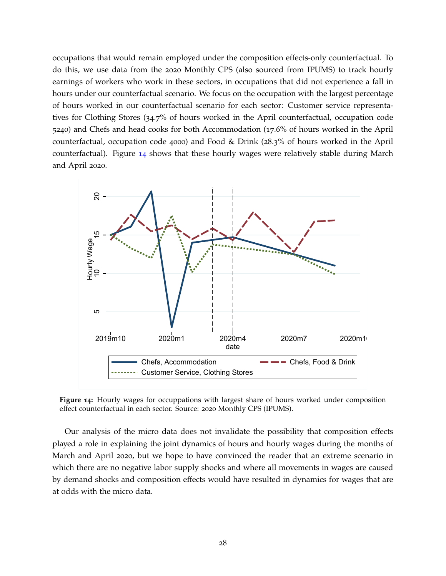occupations that would remain employed under the composition effects-only counterfactual. To do this, we use data from the 2020 Monthly CPS (also sourced from IPUMS) to track hourly earnings of workers who work in these sectors, in occupations that did not experience a fall in hours under our counterfactual scenario. We focus on the occupation with the largest percentage of hours worked in our counterfactual scenario for each sector: Customer service representatives for Clothing Stores (34.7% of hours worked in the April counterfactual, occupation code 5240) and Chefs and head cooks for both Accommodation (17.6% of hours worked in the April counterfactual, occupation code 4000) and Food & Drink (28.3% of hours worked in the April counterfactual). Figure [14](#page-28-0) shows that these hourly wages were relatively stable during March and April 2020.

<span id="page-28-0"></span>

**Figure 14:** Hourly wages for occuppations with largest share of hours worked under composition effect counterfactual in each sector. Source: 2020 Monthly CPS (IPUMS).

Our analysis of the micro data does not invalidate the possibility that composition effects played a role in explaining the joint dynamics of hours and hourly wages during the months of March and April 2020, but we hope to have convinced the reader that an extreme scenario in which there are no negative labor supply shocks and where all movements in wages are caused by demand shocks and composition effects would have resulted in dynamics for wages that are at odds with the micro data.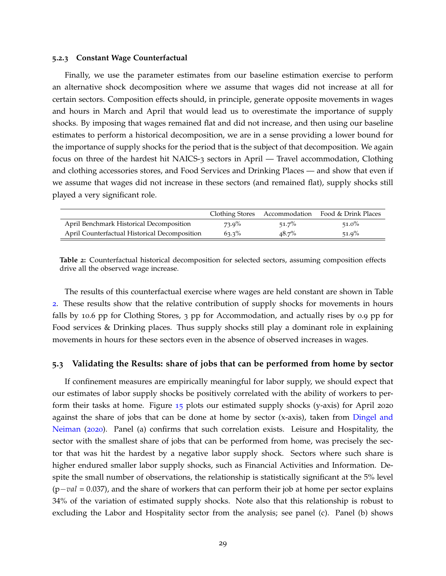#### **5.2.3 Constant Wage Counterfactual**

Finally, we use the parameter estimates from our baseline estimation exercise to perform an alternative shock decomposition where we assume that wages did not increase at all for certain sectors. Composition effects should, in principle, generate opposite movements in wages and hours in March and April that would lead us to overestimate the importance of supply shocks. By imposing that wages remained flat and did not increase, and then using our baseline estimates to perform a historical decomposition, we are in a sense providing a lower bound for the importance of supply shocks for the period that is the subject of that decomposition. We again focus on three of the hardest hit NAICS-3 sectors in April — Travel accommodation, Clothing and clothing accessories stores, and Food Services and Drinking Places — and show that even if we assume that wages did not increase in these sectors (and remained flat), supply shocks still played a very significant role.

<span id="page-29-1"></span>

|                                               |          |          | Clothing Stores Accommodation Food & Drink Places |
|-----------------------------------------------|----------|----------|---------------------------------------------------|
| April Benchmark Historical Decomposition      | $73.9\%$ | 51.7%    | $51.0\%$                                          |
| April Counterfactual Historical Decomposition | $63.3\%$ | $48.7\%$ | $51.9\%$                                          |

**Table 2:** Counterfactual historical decomposition for selected sectors, assuming composition effects drive all the observed wage increase.

The results of this counterfactual exercise where wages are held constant are shown in Table [2](#page-29-1). These results show that the relative contribution of supply shocks for movements in hours falls by 10.6 pp for Clothing Stores, 3 pp for Accommodation, and actually rises by 0.9 pp for Food services & Drinking places. Thus supply shocks still play a dominant role in explaining movements in hours for these sectors even in the absence of observed increases in wages.

### <span id="page-29-0"></span>**5.3 Validating the Results: share of jobs that can be performed from home by sector**

If confinement measures are empirically meaningful for labor supply, we should expect that our estimates of labor supply shocks be positively correlated with the ability of workers to perform their tasks at home. Figure [15](#page-30-0) plots our estimated supply shocks (y-axis) for April 2020 against the share of jobs that can be done at home by sector (x-axis), taken from [Dingel and](#page-32-15) [Neiman](#page-32-15) ([2020](#page-32-15)). Panel (a) confirms that such correlation exists. Leisure and Hospitality, the sector with the smallest share of jobs that can be performed from home, was precisely the sector that was hit the hardest by a negative labor supply shock. Sectors where such share is higher endured smaller labor supply shocks, such as Financial Activities and Information. Despite the small number of observations, the relationship is statistically significant at the 5% level (p−*val* = 0.037), and the share of workers that can perform their job at home per sector explains 34% of the variation of estimated supply shocks. Note also that this relationship is robust to excluding the Labor and Hospitality sector from the analysis; see panel (c). Panel (b) shows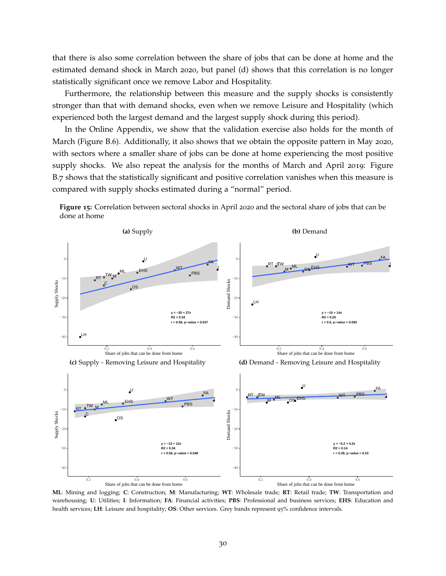that there is also some correlation between the share of jobs that can be done at home and the estimated demand shock in March 2020, but panel (d) shows that this correlation is no longer statistically significant once we remove Labor and Hospitality.

Furthermore, the relationship between this measure and the supply shocks is consistently stronger than that with demand shocks, even when we remove Leisure and Hospitality (which experienced both the largest demand and the largest supply shock during this period).

In the Online Appendix, we show that the validation exercise also holds for the month of March (Figure B.6). Additionally, it also shows that we obtain the opposite pattern in May 2020, with sectors where a smaller share of jobs can be done at home experiencing the most positive supply shocks. We also repeat the analysis for the months of March and April 2019: Figure B.7 shows that the statistically significant and positive correlation vanishes when this measure is compared with supply shocks estimated during a "normal" period.



<span id="page-30-0"></span>**Figure 15:** Correlation between sectoral shocks in April 2020 and the sectoral share of jobs that can be done at home

**ML**: Mining and logging; **C**: Construction; **M**: Manufacturing; **WT**: Wholesale trade; **RT**: Retail trade; **TW**: Transportation and warehousing; **U**: Utilities; **I**: Information; **FA**: Financial activities; **PBS**: Professional and business services; **EHS**: Education and health services; **LH**: Leisure and hospitality; **OS**: Other services. Grey bands represent 95% confidence intervals.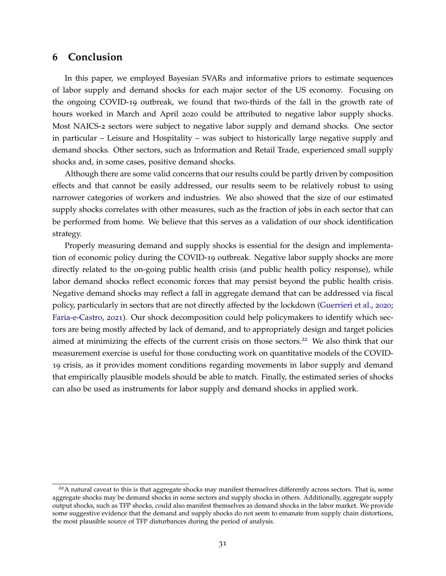### <span id="page-31-0"></span>**6 Conclusion**

In this paper, we employed Bayesian SVARs and informative priors to estimate sequences of labor supply and demand shocks for each major sector of the US economy. Focusing on the ongoing COVID-19 outbreak, we found that two-thirds of the fall in the growth rate of hours worked in March and April 2020 could be attributed to negative labor supply shocks. Most NAICS-2 sectors were subject to negative labor supply and demand shocks. One sector in particular – Leisure and Hospitality – was subject to historically large negative supply and demand shocks. Other sectors, such as Information and Retail Trade, experienced small supply shocks and, in some cases, positive demand shocks.

Although there are some valid concerns that our results could be partly driven by composition effects and that cannot be easily addressed, our results seem to be relatively robust to using narrower categories of workers and industries. We also showed that the size of our estimated supply shocks correlates with other measures, such as the fraction of jobs in each sector that can be performed from home. We believe that this serves as a validation of our shock identification strategy.

Properly measuring demand and supply shocks is essential for the design and implementation of economic policy during the COVID-19 outbreak. Negative labor supply shocks are more directly related to the on-going public health crisis (and public health policy response), while labor demand shocks reflect economic forces that may persist beyond the public health crisis. Negative demand shocks may reflect a fall in aggregate demand that can be addressed via fiscal policy, particularly in sectors that are not directly affected by the lockdown [\(Guerrieri et al.,](#page-33-0) [2020](#page-33-0); [Faria-e-Castro,](#page-32-7) [2021](#page-32-7)). Our shock decomposition could help policymakers to identify which sectors are being mostly affected by lack of demand, and to appropriately design and target policies aimed at minimizing the effects of the current crisis on those sectors.<sup>[22](#page-31-1)</sup> We also think that our measurement exercise is useful for those conducting work on quantitative models of the COVID-19 crisis, as it provides moment conditions regarding movements in labor supply and demand that empirically plausible models should be able to match. Finally, the estimated series of shocks can also be used as instruments for labor supply and demand shocks in applied work.

<span id="page-31-1"></span> $22A$  natural caveat to this is that aggregate shocks may manifest themselves differently across sectors. That is, some aggregate shocks may be demand shocks in some sectors and supply shocks in others. Additionally, aggregate supply output shocks, such as TFP shocks, could also manifest themselves as demand shocks in the labor market. We provide some suggestive evidence that the demand and supply shocks do not seem to emanate from supply chain distortions, the most plausible source of TFP disturbances during the period of analysis.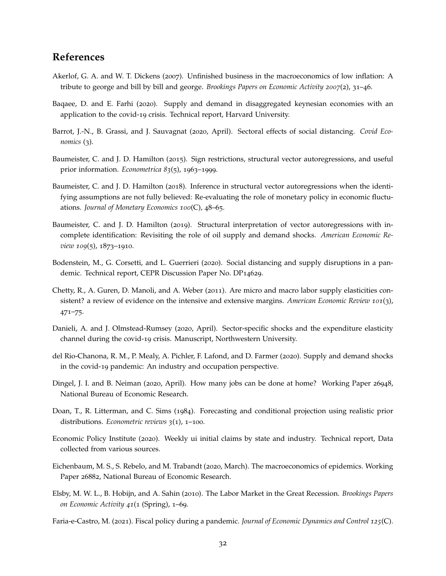# **References**

- <span id="page-32-10"></span>Akerlof, G. A. and W. T. Dickens (2007). Unfinished business in the macroeconomics of low inflation: A tribute to george and bill by bill and george. *Brookings Papers on Economic Activity 2007*(2), 31–46.
- <span id="page-32-1"></span>Baqaee, D. and E. Farhi (2020). Supply and demand in disaggregated keynesian economies with an application to the covid-19 crisis. Technical report, Harvard University.
- <span id="page-32-5"></span>Barrot, J.-N., B. Grassi, and J. Sauvagnat (2020, April). Sectoral effects of social distancing. *Covid Economics* (3).
- <span id="page-32-0"></span>Baumeister, C. and J. D. Hamilton (2015). Sign restrictions, structural vector autoregressions, and useful prior information. *Econometrica 83*(5), 1963–1999.
- <span id="page-32-8"></span>Baumeister, C. and J. D. Hamilton (2018). Inference in structural vector autoregressions when the identifying assumptions are not fully believed: Re-evaluating the role of monetary policy in economic fluctuations. *Journal of Monetary Economics 100*(C), 48–65.
- <span id="page-32-12"></span>Baumeister, C. and J. D. Hamilton (2019). Structural interpretation of vector autoregressions with incomplete identification: Revisiting the role of oil supply and demand shocks. *American Economic Review 109*(5), 1873–1910.
- <span id="page-32-6"></span>Bodenstein, M., G. Corsetti, and L. Guerrieri (2020). Social distancing and supply disruptions in a pandemic. Technical report, CEPR Discussion Paper No. DP14629.
- <span id="page-32-9"></span>Chetty, R., A. Guren, D. Manoli, and A. Weber (2011). Are micro and macro labor supply elasticities consistent? a review of evidence on the intensive and extensive margins. *American Economic Review 101*(3), 471–75.
- <span id="page-32-4"></span>Danieli, A. and J. Olmstead-Rumsey (2020, April). Sector-specific shocks and the expenditure elasticity channel during the covid-19 crisis. Manuscript, Northwestern University.
- <span id="page-32-2"></span>del Rio-Chanona, R. M., P. Mealy, A. Pichler, F. Lafond, and D. Farmer (2020). Supply and demand shocks in the covid-19 pandemic: An industry and occupation perspective.
- <span id="page-32-15"></span>Dingel, J. I. and B. Neiman (2020, April). How many jobs can be done at home? Working Paper 26948, National Bureau of Economic Research.
- <span id="page-32-11"></span>Doan, T., R. Litterman, and C. Sims (1984). Forecasting and conditional projection using realistic prior distributions. *Econometric reviews 3*(1), 1–100.
- <span id="page-32-14"></span>Economic Policy Institute (2020). Weekly ui initial claims by state and industry. Technical report, Data collected from various sources.
- <span id="page-32-3"></span>Eichenbaum, M. S., S. Rebelo, and M. Trabandt (2020, March). The macroeconomics of epidemics. Working Paper 26882, National Bureau of Economic Research.
- <span id="page-32-13"></span>Elsby, M. W. L., B. Hobijn, and A. Sahin (2010). The Labor Market in the Great Recession. *Brookings Papers on Economic Activity 41*(1 (Spring), 1–69.
- <span id="page-32-7"></span>Faria-e-Castro, M. (2021). Fiscal policy during a pandemic. *Journal of Economic Dynamics and Control 125*(C).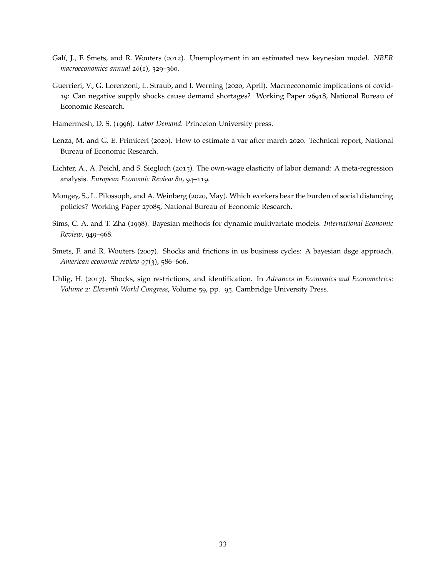- <span id="page-33-5"></span>Gal´ı, J., F. Smets, and R. Wouters (2012). Unemployment in an estimated new keynesian model. *NBER macroeconomics annual 26*(1), 329–360.
- <span id="page-33-0"></span>Guerrieri, V., G. Lorenzoni, L. Straub, and I. Werning (2020, April). Macroeconomic implications of covid-19: Can negative supply shocks cause demand shortages? Working Paper 26918, National Bureau of Economic Research.
- <span id="page-33-4"></span>Hamermesh, D. S. (1996). *Labor Demand*. Princeton University press.
- <span id="page-33-7"></span>Lenza, M. and G. E. Primiceri (2020). How to estimate a var after march 2020. Technical report, National Bureau of Economic Research.
- <span id="page-33-3"></span>Lichter, A., A. Peichl, and S. Siegloch (2015). The own-wage elasticity of labor demand: A meta-regression analysis. *European Economic Review 80*, 94–119.
- <span id="page-33-8"></span>Mongey, S., L. Pilossoph, and A. Weinberg (2020, May). Which workers bear the burden of social distancing policies? Working Paper 27085, National Bureau of Economic Research.
- <span id="page-33-6"></span>Sims, C. A. and T. Zha (1998). Bayesian methods for dynamic multivariate models. *International Economic Review*, 949–968.
- <span id="page-33-2"></span>Smets, F. and R. Wouters (2007). Shocks and frictions in us business cycles: A bayesian dsge approach. *American economic review 97*(3), 586–606.
- <span id="page-33-1"></span>Uhlig, H. (2017). Shocks, sign restrictions, and identification. In *Advances in Economics and Econometrics: Volume 2: Eleventh World Congress*, Volume 59, pp. 95. Cambridge University Press.